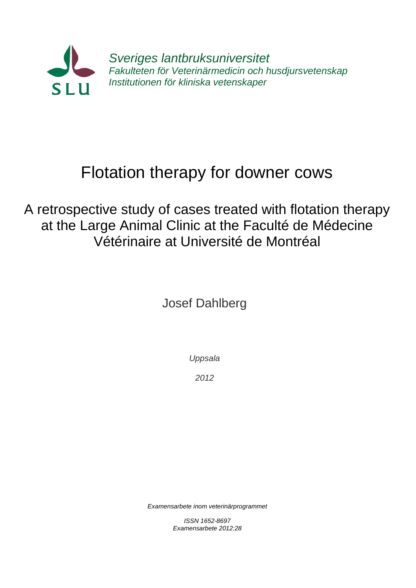

# Flotation therapy for downer cows

A retrospective study of cases treated with flotation therapy at the Large Animal Clinic at the Faculté de Médecine Vétérinaire at Université de Montréal

Josef Dahlberg

*Uppsala*

*2012*

*Examensarbete inom veterinärprogrammet*

*ISSN 1652-8697 Examensarbete 2012:28*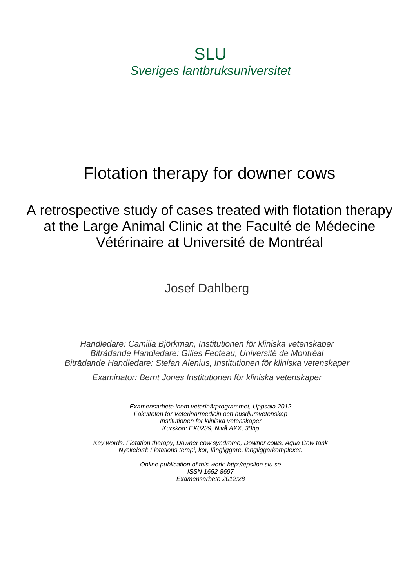**SLU** *Sveriges lantbruksuniversitet*

# Flotation therapy for downer cows

A retrospective study of cases treated with flotation therapy at the Large Animal Clinic at the Faculté de Médecine Vétérinaire at Université de Montréal

Josef Dahlberg

*Handledare: Camilla Björkman, Institutionen för kliniska vetenskaper Biträdande Handledare: Gilles Fecteau, Université de Montréal Biträdande Handledare: Stefan Alenius, Institutionen för kliniska vetenskaper*

*Examinator: Bernt Jones Institutionen för kliniska vetenskaper*

*Examensarbete inom veterinärprogrammet, Uppsala 2012 Fakulteten för Veterinärmedicin och husdjursvetenskap Institutionen för kliniska vetenskaper Kurskod: EX0239, Nivå AXX, 30hp*

*Key words: Flotation therapy, Downer cow syndrome, Downer cows, Aqua Cow tank Nyckelord: Flotations terapi, kor, långliggare, långliggarkomplexet.*

> *Online publication of this work: http://epsilon.slu.se ISSN 1652-8697 Examensarbete 2012:28*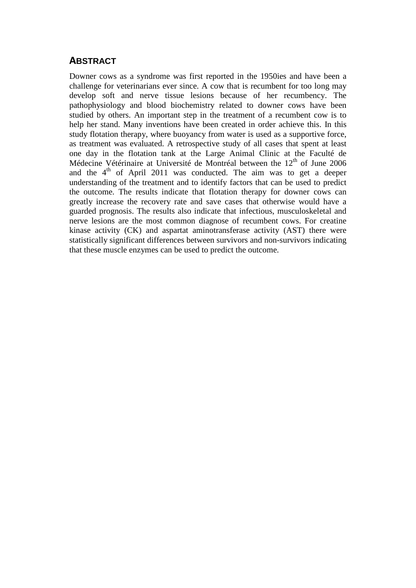# **ABSTRACT**

Downer cows as a syndrome was first reported in the 1950ies and have been a challenge for veterinarians ever since. A cow that is recumbent for too long may develop soft and nerve tissue lesions because of her recumbency. The pathophysiology and blood biochemistry related to downer cows have been studied by others. An important step in the treatment of a recumbent cow is to help her stand. Many inventions have been created in order achieve this. In this study flotation therapy, where buoyancy from water is used as a supportive force, as treatment was evaluated. A retrospective study of all cases that spent at least one day in the flotation tank at the Large Animal Clinic at the Faculté de Médecine Vétérinaire at Université de Montréal between the 12<sup>th</sup> of June 2006 and the  $4<sup>th</sup>$  of April 2011 was conducted. The aim was to get a deeper understanding of the treatment and to identify factors that can be used to predict the outcome. The results indicate that flotation therapy for downer cows can greatly increase the recovery rate and save cases that otherwise would have a guarded prognosis. The results also indicate that infectious, musculoskeletal and nerve lesions are the most common diagnose of recumbent cows. For creatine kinase activity (CK) and aspartat aminotransferase activity (AST) there were statistically significant differences between survivors and non-survivors indicating that these muscle enzymes can be used to predict the outcome.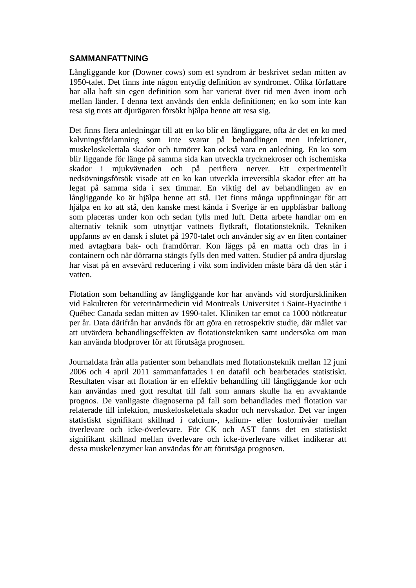#### **SAMMANFATTNING**

Långliggande kor (Downer cows) som ett syndrom är beskrivet sedan mitten av 1950-talet. Det finns inte någon entydig definition av syndromet. Olika författare har alla haft sin egen definition som har varierat över tid men även inom och mellan länder. I denna text används den enkla definitionen; en ko som inte kan resa sig trots att djurägaren försökt hjälpa henne att resa sig.

Det finns flera anledningar till att en ko blir en långliggare, ofta är det en ko med kalvningsförlamning som inte svarar på behandlingen men infektioner, muskeloskelettala skador och tumörer kan också vara en anledning. En ko som blir liggande för länge på samma sida kan utveckla trycknekroser och ischemiska skador i mjukvävnaden och på perifiera nerver. Ett experimentellt nedsövningsförsök visade att en ko kan utveckla irreversibla skador efter att ha legat på samma sida i sex timmar. En viktig del av behandlingen av en långliggande ko är hjälpa henne att stå. Det finns många uppfinningar för att hjälpa en ko att stå, den kanske mest kända i Sverige är en uppblåsbar ballong som placeras under kon och sedan fylls med luft. Detta arbete handlar om en alternativ teknik som utnyttjar vattnets flytkraft, flotationsteknik. Tekniken uppfanns av en dansk i slutet på 1970-talet och använder sig av en liten container med avtagbara bak- och framdörrar. Kon läggs på en matta och dras in i containern och när dörrarna stängts fylls den med vatten. Studier på andra djurslag har visat på en avsevärd reducering i vikt som individen måste bära då den står i vatten.

Flotation som behandling av långliggande kor har används vid stordjurskliniken vid Fakulteten för veterinärmedicin vid Montreals Universitet i Saint-Hyacinthe i Québec Canada sedan mitten av 1990-talet. Kliniken tar emot ca 1000 nötkreatur per år. Data därifrån har används för att göra en retrospektiv studie, där målet var att utvärdera behandlingseffekten av flotationstekniken samt undersöka om man kan använda blodprover för att förutsäga prognosen.

Journaldata från alla patienter som behandlats med flotationsteknik mellan 12 juni 2006 och 4 april 2011 sammanfattades i en datafil och bearbetades statistiskt. Resultaten visar att flotation är en effektiv behandling till långliggande kor och kan användas med gott resultat till fall som annars skulle ha en avvaktande prognos. De vanligaste diagnoserna på fall som behandlades med flotation var relaterade till infektion, muskeloskelettala skador och nervskador. Det var ingen statistiskt signifikant skillnad i calcium-, kalium- eller fosfornivåer mellan överlevare och icke-överlevare. För CK och AST fanns det en statistiskt signifikant skillnad mellan överlevare och icke-överlevare vilket indikerar att dessa muskelenzymer kan användas för att förutsäga prognosen.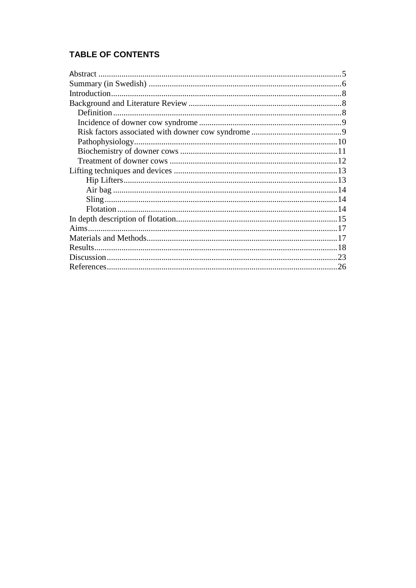# **TABLE OF CONTENTS**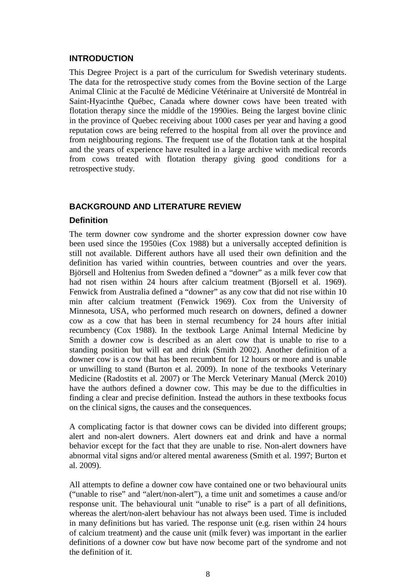#### **INTRODUCTION**

This Degree Project is a part of the curriculum for Swedish veterinary students. The data for the retrospective study comes from the Bovine section of the Large Animal Clinic at the Faculté de Médicine Vétérinaire at Université de Montréal in Saint-Hyacinthe Québec, Canada where downer cows have been treated with flotation therapy since the middle of the 1990ies. Being the largest bovine clinic in the province of Quebec receiving about 1000 cases per year and having a good reputation cows are being referred to the hospital from all over the province and from neighbouring regions. The frequent use of the flotation tank at the hospital and the years of experience have resulted in a large archive with medical records from cows treated with flotation therapy giving good conditions for a retrospective study.

#### **BACKGROUND AND LITERATURE REVIEW**

#### **Definition**

The term downer cow syndrome and the shorter expression downer cow have been used since the 1950ies (Cox 1988) but a universally accepted definition is still not available. Different authors have all used their own definition and the definition has varied within countries, between countries and over the years. Björsell and Holtenius from Sweden defined a "downer" as a milk fever cow that had not risen within 24 hours after calcium treatment (Bjorsell et al. 1969). Fenwick from Australia defined a "downer" as any cow that did not rise within 10 min after calcium treatment (Fenwick 1969). Cox from the University of Minnesota, USA, who performed much research on downers, defined a downer cow as a cow that has been in sternal recumbency for 24 hours after initial recumbency (Cox 1988). In the textbook Large Animal Internal Medicine by Smith a downer cow is described as an alert cow that is unable to rise to a standing position but will eat and drink (Smith 2002). Another definition of a downer cow is a cow that has been recumbent for 12 hours or more and is unable or unwilling to stand (Burton et al. 2009). In none of the textbooks Veterinary Medicine (Radostits et al. 2007) or The Merck Veterinary Manual (Merck 2010) have the authors defined a downer cow. This may be due to the difficulties in finding a clear and precise definition. Instead the authors in these textbooks focus on the clinical signs, the causes and the consequences.

A complicating factor is that downer cows can be divided into different groups; alert and non-alert downers. Alert downers eat and drink and have a normal behavior except for the fact that they are unable to rise. Non-alert downers have abnormal vital signs and/or altered mental awareness (Smith et al. 1997; Burton et al. 2009).

All attempts to define a downer cow have contained one or two behavioural units ("unable to rise" and "alert/non-alert"), a time unit and sometimes a cause and/or response unit. The behavioural unit "unable to rise" is a part of all definitions, whereas the alert/non-alert behaviour has not always been used. Time is included in many definitions but has varied. The response unit (e.g. risen within 24 hours of calcium treatment) and the cause unit (milk fever) was important in the earlier definitions of a downer cow but have now become part of the syndrome and not the definition of it.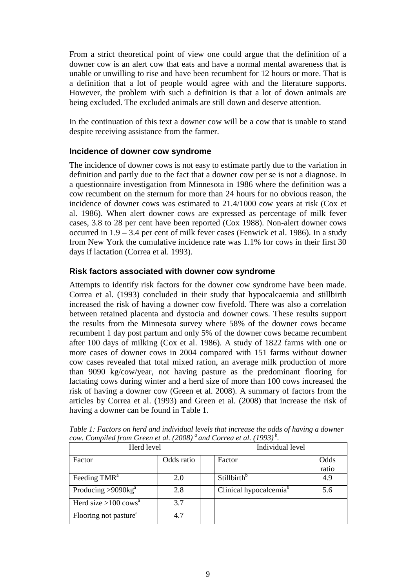From a strict theoretical point of view one could argue that the definition of a downer cow is an alert cow that eats and have a normal mental awareness that is unable or unwilling to rise and have been recumbent for 12 hours or more. That is a definition that a lot of people would agree with and the literature supports. However, the problem with such a definition is that a lot of down animals are being excluded. The excluded animals are still down and deserve attention.

In the continuation of this text a downer cow will be a cow that is unable to stand despite receiving assistance from the farmer.

## **Incidence of downer cow syndrome**

The incidence of downer cows is not easy to estimate partly due to the variation in definition and partly due to the fact that a downer cow per se is not a diagnose. In a questionnaire investigation from Minnesota in 1986 where the definition was a cow recumbent on the sternum for more than 24 hours for no obvious reason, the incidence of downer cows was estimated to 21.4/1000 cow years at risk (Cox et al. 1986). When alert downer cows are expressed as percentage of milk fever cases, 3.8 to 28 per cent have been reported (Cox 1988). Non-alert downer cows occurred in 1.9 – 3.4 per cent of milk fever cases (Fenwick et al. 1986). In a study from New York the cumulative incidence rate was 1.1% for cows in their first 30 days if lactation (Correa et al. 1993).

#### **Risk factors associated with downer cow syndrome**

Attempts to identify risk factors for the downer cow syndrome have been made. Correa et al. (1993) concluded in their study that hypocalcaemia and stillbirth increased the risk of having a downer cow fivefold. There was also a correlation between retained placenta and dystocia and downer cows. These results support the results from the Minnesota survey where 58% of the downer cows became recumbent 1 day post partum and only 5% of the downer cows became recumbent after 100 days of milking (Cox et al. 1986). A study of 1822 farms with one or more cases of downer cows in 2004 compared with 151 farms without downer cow cases revealed that total mixed ration, an average milk production of more than 9090 kg/cow/year, not having pasture as the predominant flooring for lactating cows during winter and a herd size of more than 100 cows increased the risk of having a downer cow (Green et al. 2008). A summary of factors from the articles by Correa et al. (1993) and Green et al. (2008) that increase the risk of having a downer can be found in Table 1.

| Herd level                         |            |  | Individual level                   |               |  |
|------------------------------------|------------|--|------------------------------------|---------------|--|
| Factor                             | Odds ratio |  | Factor                             | Odds<br>ratio |  |
| Feeding TMR <sup>a</sup>           | 2.0        |  | Stillbirth <sup>b</sup>            | 4.9           |  |
| Producing $>9090$ kg <sup>a</sup>  | 2.8        |  | Clinical hypocalcemia <sup>b</sup> | 5.6           |  |
| Herd size $>100$ cows <sup>a</sup> | 3.7        |  |                                    |               |  |
| Flooring not pasture <sup>a</sup>  | 4.7        |  |                                    |               |  |

*Table 1: Factors on herd and individual levels that increase the odds of having a downer cow. Compiled from Green et al. (2008) a and Correa et al. (1993) <sup>b</sup> .*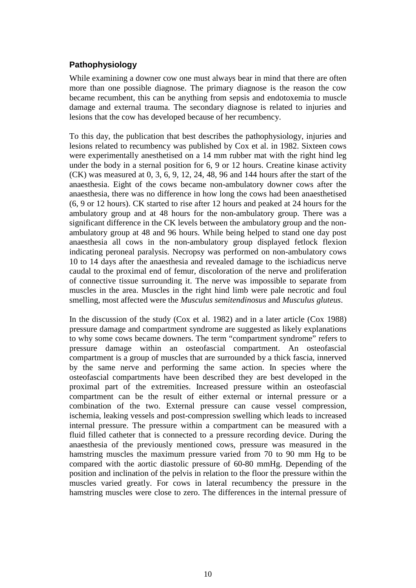# **Pathophysiology**

While examining a downer cow one must always bear in mind that there are often more than one possible diagnose. The primary diagnose is the reason the cow became recumbent, this can be anything from sepsis and endotoxemia to muscle damage and external trauma. The secondary diagnose is related to injuries and lesions that the cow has developed because of her recumbency.

To this day, the publication that best describes the pathophysiology, injuries and lesions related to recumbency was published by Cox et al. in 1982. Sixteen cows were experimentally anesthetised on a 14 mm rubber mat with the right hind leg under the body in a sternal position for 6, 9 or 12 hours. Creatine kinase activity (CK) was measured at 0, 3, 6, 9, 12, 24, 48, 96 and 144 hours after the start of the anaesthesia. Eight of the cows became non-ambulatory downer cows after the anaesthesia, there was no difference in how long the cows had been anaesthetised (6, 9 or 12 hours). CK started to rise after 12 hours and peaked at 24 hours for the ambulatory group and at 48 hours for the non-ambulatory group. There was a significant difference in the CK levels between the ambulatory group and the nonambulatory group at 48 and 96 hours. While being helped to stand one day post anaesthesia all cows in the non-ambulatory group displayed fetlock flexion indicating peroneal paralysis. Necropsy was performed on non-ambulatory cows 10 to 14 days after the anaesthesia and revealed damage to the ischiadicus nerve caudal to the proximal end of femur, discoloration of the nerve and proliferation of connective tissue surrounding it. The nerve was impossible to separate from muscles in the area. Muscles in the right hind limb were pale necrotic and foul smelling, most affected were the *Musculus semitendinosus* and *Musculus gluteus*.

In the discussion of the study (Cox et al. 1982) and in a later article (Cox 1988) pressure damage and compartment syndrome are suggested as likely explanations to why some cows became downers. The term "compartment syndrome" refers to pressure damage within an osteofascial compartment. An osteofascial compartment is a group of muscles that are surrounded by a thick fascia, innerved by the same nerve and performing the same action. In species where the osteofascial compartments have been described they are best developed in the proximal part of the extremities. Increased pressure within an osteofascial compartment can be the result of either external or internal pressure or a combination of the two. External pressure can cause vessel compression, ischemia, leaking vessels and post-compression swelling which leads to increased internal pressure. The pressure within a compartment can be measured with a fluid filled catheter that is connected to a pressure recording device. During the anaesthesia of the previously mentioned cows, pressure was measured in the hamstring muscles the maximum pressure varied from 70 to 90 mm Hg to be compared with the aortic diastolic pressure of 60-80 mmHg. Depending of the position and inclination of the pelvis in relation to the floor the pressure within the muscles varied greatly. For cows in lateral recumbency the pressure in the hamstring muscles were close to zero. The differences in the internal pressure of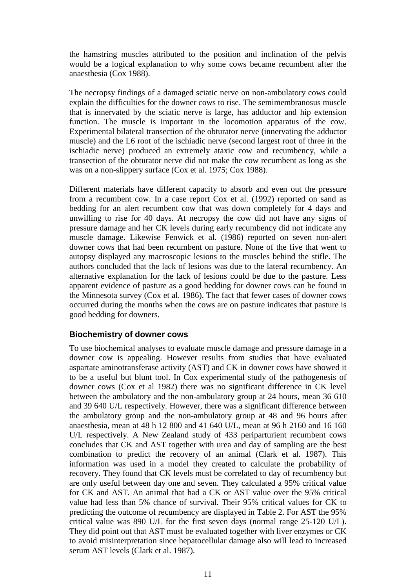the hamstring muscles attributed to the position and inclination of the pelvis would be a logical explanation to why some cows became recumbent after the anaesthesia (Cox 1988).

The necropsy findings of a damaged sciatic nerve on non-ambulatory cows could explain the difficulties for the downer cows to rise. The semimembranosus muscle that is innervated by the sciatic nerve is large, has adductor and hip extension function. The muscle is important in the locomotion apparatus of the cow. Experimental bilateral transection of the obturator nerve (innervating the adductor muscle) and the L6 root of the ischiadic nerve (second largest root of three in the ischiadic nerve) produced an extremely ataxic cow and recumbency, while a transection of the obturator nerve did not make the cow recumbent as long as she was on a non-slippery surface (Cox et al. 1975; Cox 1988).

Different materials have different capacity to absorb and even out the pressure from a recumbent cow. In a case report Cox et al. (1992) reported on sand as bedding for an alert recumbent cow that was down completely for 4 days and unwilling to rise for 40 days. At necropsy the cow did not have any signs of pressure damage and her CK levels during early recumbency did not indicate any muscle damage. Likewise Fenwick et al. (1986) reported on seven non-alert downer cows that had been recumbent on pasture. None of the five that went to autopsy displayed any macroscopic lesions to the muscles behind the stifle. The authors concluded that the lack of lesions was due to the lateral recumbency. An alternative explanation for the lack of lesions could be due to the pasture. Less apparent evidence of pasture as a good bedding for downer cows can be found in the Minnesota survey (Cox et al. 1986). The fact that fewer cases of downer cows occurred during the months when the cows are on pasture indicates that pasture is good bedding for downers.

## **Biochemistry of downer cows**

To use biochemical analyses to evaluate muscle damage and pressure damage in a downer cow is appealing. However results from studies that have evaluated aspartate aminotransferase activity (AST) and CK in downer cows have showed it to be a useful but blunt tool. In Cox experimental study of the pathogenesis of downer cows (Cox et al 1982) there was no significant difference in CK level between the ambulatory and the non-ambulatory group at 24 hours, mean 36 610 and 39 640 U/L respectively. However, there was a significant difference between the ambulatory group and the non-ambulatory group at 48 and 96 hours after anaesthesia, mean at 48 h 12 800 and 41 640 U/L, mean at 96 h 2160 and 16 160 U/L respectively. A New Zealand study of 433 periparturient recumbent cows concludes that CK and AST together with urea and day of sampling are the best combination to predict the recovery of an animal (Clark et al. 1987). This information was used in a model they created to calculate the probability of recovery. They found that CK levels must be correlated to day of recumbency but are only useful between day one and seven. They calculated a 95% critical value for CK and AST. An animal that had a CK or AST value over the 95% critical value had less than 5% chance of survival. Their 95% critical values for CK to predicting the outcome of recumbency are displayed in Table 2. For AST the 95% critical value was 890 U/L for the first seven days (normal range 25-120 U/L). They did point out that AST must be evaluated together with liver enzymes or CK to avoid misinterpretation since hepatocellular damage also will lead to increased serum AST levels (Clark et al. 1987).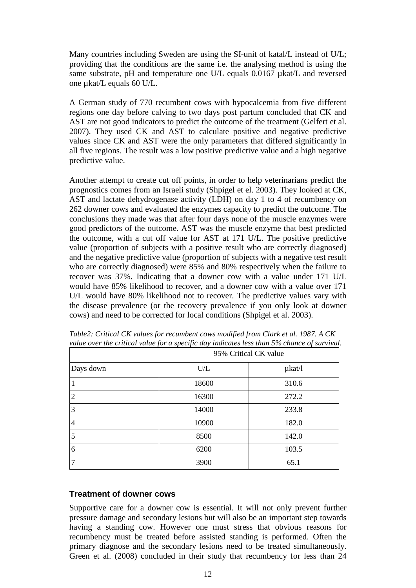Many countries including Sweden are using the SI-unit of katal/L instead of U/L; providing that the conditions are the same i.e. the analysing method is using the same substrate, pH and temperature one U/L equals 0.0167  $\mu$ kat/L and reversed one µkat/L equals 60 U/L.

A German study of 770 recumbent cows with hypocalcemia from five different regions one day before calving to two days post partum concluded that CK and AST are not good indicators to predict the outcome of the treatment (Gelfert et al. 2007). They used CK and AST to calculate positive and negative predictive values since CK and AST were the only parameters that differed significantly in all five regions. The result was a low positive predictive value and a high negative predictive value.

Another attempt to create cut off points, in order to help veterinarians predict the prognostics comes from an Israeli study (Shpigel et el. 2003). They looked at CK, AST and lactate dehydrogenase activity (LDH) on day 1 to 4 of recumbency on 262 downer cows and evaluated the enzymes capacity to predict the outcome. The conclusions they made was that after four days none of the muscle enzymes were good predictors of the outcome. AST was the muscle enzyme that best predicted the outcome, with a cut off value for AST at 171 U/L. The positive predictive value (proportion of subjects with a positive result who are correctly diagnosed) and the negative predictive value (proportion of subjects with a negative test result who are correctly diagnosed) were 85% and 80% respectively when the failure to recover was 37%. Indicating that a downer cow with a value under 171 U/L would have 85% likelihood to recover, and a downer cow with a value over 171 U/L would have 80% likelihood not to recover. The predictive values vary with the disease prevalence (or the recovery prevalence if you only look at downer cows) and need to be corrected for local conditions (Shpigel et al. 2003).

|                | 95% Critical CK value |             |  |
|----------------|-----------------------|-------------|--|
| Days down      | U/L                   | $\mu$ kat/l |  |
|                | 18600                 | 310.6       |  |
| $\overline{2}$ | 16300                 | 272.2       |  |
| 3              | 14000                 | 233.8       |  |
| $\overline{4}$ | 10900                 | 182.0       |  |
| 5              | 8500                  | 142.0       |  |
| 6              | 6200                  | 103.5       |  |
| 7              | 3900                  | 65.1        |  |

*Table2: Critical CK values for recumbent cows modified from Clark et al. 1987. A CK value over the critical value for a specific day indicates less than 5% chance of survival.*

#### **Treatment of downer cows**

Supportive care for a downer cow is essential. It will not only prevent further pressure damage and secondary lesions but will also be an important step towards having a standing cow. However one must stress that obvious reasons for recumbency must be treated before assisted standing is performed. Often the primary diagnose and the secondary lesions need to be treated simultaneously. Green et al. (2008) concluded in their study that recumbency for less than 24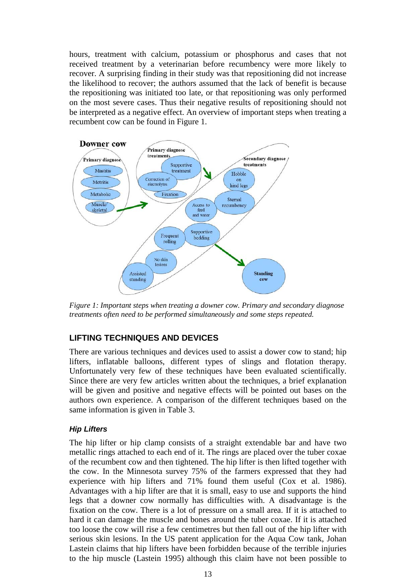hours, treatment with calcium, potassium or phosphorus and cases that not received treatment by a veterinarian before recumbency were more likely to recover. A surprising finding in their study was that repositioning did not increase the likelihood to recover; the authors assumed that the lack of benefit is because the repositioning was initiated too late, or that repositioning was only performed on the most severe cases. Thus their negative results of repositioning should not be interpreted as a negative effect. An overview of important steps when treating a recumbent cow can be found in Figure 1.



*Figure 1: Important steps when treating a downer cow. Primary and secondary diagnose treatments often need to be performed simultaneously and some steps repeated.* 

## **LIFTING TECHNIQUES AND DEVICES**

There are various techniques and devices used to assist a dower cow to stand; hip lifters, inflatable balloons, different types of slings and flotation therapy. Unfortunately very few of these techniques have been evaluated scientifically. Since there are very few articles written about the techniques, a brief explanation will be given and positive and negative effects will be pointed out bases on the authors own experience. A comparison of the different techniques based on the same information is given in Table 3.

## *Hip Lifters*

The hip lifter or hip clamp consists of a straight extendable bar and have two metallic rings attached to each end of it. The rings are placed over the tuber coxae of the recumbent cow and then tightened. The hip lifter is then lifted together with the cow. In the Minnesota survey 75% of the farmers expressed that they had experience with hip lifters and 71% found them useful (Cox et al. 1986). Advantages with a hip lifter are that it is small, easy to use and supports the hind legs that a downer cow normally has difficulties with. A disadvantage is the fixation on the cow. There is a lot of pressure on a small area. If it is attached to hard it can damage the muscle and bones around the tuber coxae. If it is attached too loose the cow will rise a few centimetres but then fall out of the hip lifter with serious skin lesions. In the US patent application for the Aqua Cow tank, Johan Lastein claims that hip lifters have been forbidden because of the terrible injuries to the hip muscle (Lastein 1995) although this claim have not been possible to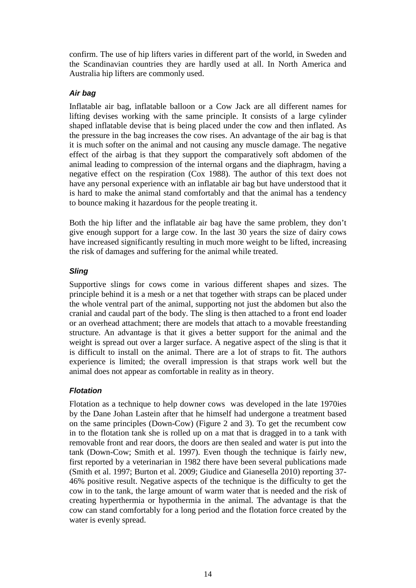confirm. The use of hip lifters varies in different part of the world, in Sweden and the Scandinavian countries they are hardly used at all. In North America and Australia hip lifters are commonly used.

#### *Air bag*

Inflatable air bag, inflatable balloon or a Cow Jack are all different names for lifting devises working with the same principle. It consists of a large cylinder shaped inflatable devise that is being placed under the cow and then inflated. As the pressure in the bag increases the cow rises. An advantage of the air bag is that it is much softer on the animal and not causing any muscle damage. The negative effect of the airbag is that they support the comparatively soft abdomen of the animal leading to compression of the internal organs and the diaphragm, having a negative effect on the respiration (Cox 1988). The author of this text does not have any personal experience with an inflatable air bag but have understood that it is hard to make the animal stand comfortably and that the animal has a tendency to bounce making it hazardous for the people treating it.

Both the hip lifter and the inflatable air bag have the same problem, they don't give enough support for a large cow. In the last 30 years the size of dairy cows have increased significantly resulting in much more weight to be lifted, increasing the risk of damages and suffering for the animal while treated.

## *Sling*

Supportive slings for cows come in various different shapes and sizes. The principle behind it is a mesh or a net that together with straps can be placed under the whole ventral part of the animal, supporting not just the abdomen but also the cranial and caudal part of the body. The sling is then attached to a front end loader or an overhead attachment; there are models that attach to a movable freestanding structure. An advantage is that it gives a better support for the animal and the weight is spread out over a larger surface. A negative aspect of the sling is that it is difficult to install on the animal. There are a lot of straps to fit. The authors experience is limited; the overall impression is that straps work well but the animal does not appear as comfortable in reality as in theory.

## *Flotation*

Flotation as a technique to help downer cows was developed in the late 1970ies by the Dane Johan Lastein after that he himself had undergone a treatment based on the same principles (Down-Cow) (Figure 2 and 3). To get the recumbent cow in to the flotation tank she is rolled up on a mat that is dragged in to a tank with removable front and rear doors, the doors are then sealed and water is put into the tank (Down-Cow; Smith et al. 1997). Even though the technique is fairly new, first reported by a veterinarian in 1982 there have been several publications made (Smith et al. 1997; Burton et al. 2009; Giudice and Gianesella 2010) reporting 37- 46% positive result. Negative aspects of the technique is the difficulty to get the cow in to the tank, the large amount of warm water that is needed and the risk of creating hyperthermia or hypothermia in the animal. The advantage is that the cow can stand comfortably for a long period and the flotation force created by the water is evenly spread.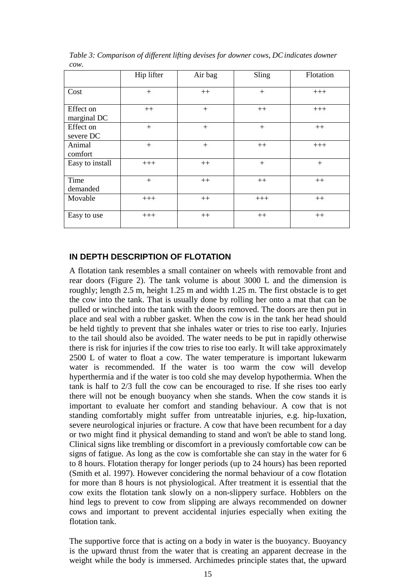|                          | Hip lifter | Air bag | Sling | Flotation |
|--------------------------|------------|---------|-------|-----------|
| Cost                     | $+$        | $++$    | $+$   | $+++$     |
| Effect on<br>marginal DC | $++$       | $+$     | $++$  | $+++$     |
| Effect on<br>severe DC   | $+$        | $+$     | $+$   | $++$      |
| Animal<br>comfort        | $+$        | $+$     | $++$  | $+++$     |
| Easy to install          | $+++$      | $++$    | $+$   | $+$       |
| Time<br>demanded         | $+$        | $++$    | $++$  | $++$      |
| Movable                  | $+++$      | $++$    | $+++$ | $++$      |
| Easy to use              | $+++$      | $++$    | $++$  | $++$      |

*Table 3: Comparison of different lifting devises for downer cows, DCindicates downer cow.*

#### **IN DEPTH DESCRIPTION OF FLOTATION**

A flotation tank resembles a small container on wheels with removable front and rear doors (Figure 2). The tank volume is about 3000 L and the dimension is roughly; length 2.5 m, height 1.25 m and width 1.25 m. The first obstacle is to get the cow into the tank. That is usually done by rolling her onto a mat that can be pulled or winched into the tank with the doors removed. The doors are then put in place and seal with a rubber gasket. When the cow is in the tank her head should be held tightly to prevent that she inhales water or tries to rise too early. Injuries to the tail should also be avoided. The water needs to be put in rapidly otherwise there is risk for injuries if the cow tries to rise too early. It will take approximately 2500 L of water to float a cow. The water temperature is important lukewarm water is recommended. If the water is too warm the cow will develop hyperthermia and if the water is too cold she may develop hypothermia. When the tank is half to 2/3 full the cow can be encouraged to rise. If she rises too early there will not be enough buoyancy when she stands. When the cow stands it is important to evaluate her comfort and standing behaviour. A cow that is not standing comfortably might suffer from untreatable injuries, e.g. hip-luxation, severe neurological injuries or fracture. A cow that have been recumbent for a day or two might find it physical demanding to stand and won't be able to stand long. Clinical signs like trembling or discomfort in a previously comfortable cow can be signs of fatigue. As long as the cow is comfortable she can stay in the water for 6 to 8 hours. Flotation therapy for longer periods (up to 24 hours) has been reported (Smith et al. 1997). However concidering the normal behaviour of a cow flotation for more than 8 hours is not physiological. After treatment it is essential that the cow exits the flotation tank slowly on a non-slippery surface. Hobblers on the hind legs to prevent to cow from slipping are always recommended on downer cows and important to prevent accidental injuries especially when exiting the flotation tank.

The supportive force that is acting on a body in water is the buoyancy. Buoyancy is the upward thrust from the water that is creating an apparent decrease in the weight while the body is immersed. Archimedes principle states that, the upward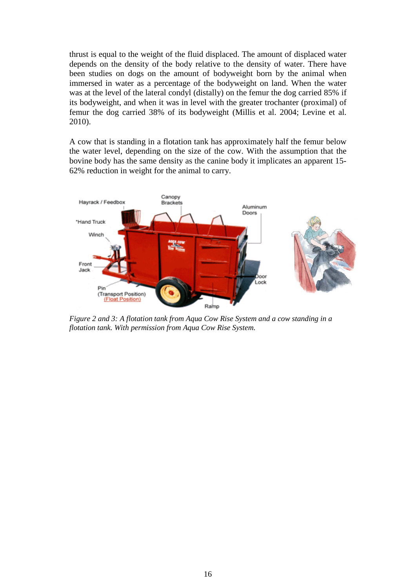thrust is equal to the weight of the fluid displaced. The amount of displaced water depends on the density of the body relative to the density of water. There have been studies on dogs on the amount of bodyweight born by the animal when immersed in water as a percentage of the bodyweight on land. When the water was at the level of the lateral condyl (distally) on the femur the dog carried 85% if its bodyweight, and when it was in level with the greater trochanter (proximal) of femur the dog carried 38% of its bodyweight (Millis et al. 2004; Levine et al. 2010).

A cow that is standing in a flotation tank has approximately half the femur below the water level, depending on the size of the cow. With the assumption that the bovine body has the same density as the canine body it implicates an apparent 15- 62% reduction in weight for the animal to carry.



*Figure 2 and 3: A flotation tank from Aqua Cow Rise System and a cow standing in a flotation tank. With permission from Aqua Cow Rise System.*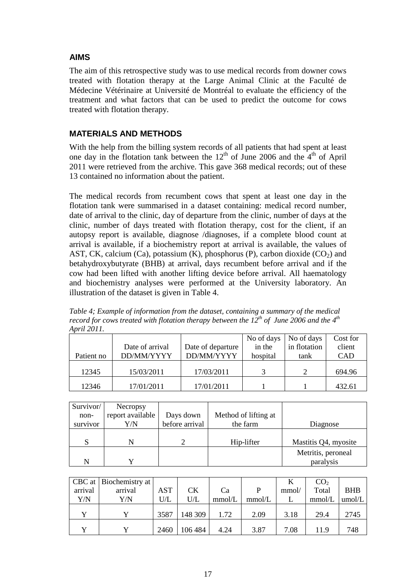# **AIMS**

The aim of this retrospective study was to use medical records from downer cows treated with flotation therapy at the Large Animal Clinic at the Faculté de Médecine Vétérinaire at Université de Montréal to evaluate the efficiency of the treatment and what factors that can be used to predict the outcome for cows treated with flotation therapy.

# **MATERIALS AND METHODS**

With the help from the billing system records of all patients that had spent at least one day in the flotation tank between the  $12<sup>th</sup>$  of June 2006 and the  $4<sup>th</sup>$  of April 2011 were retrieved from the archive. This gave 368 medical records; out of these 13 contained no information about the patient.

The medical records from recumbent cows that spent at least one day in the flotation tank were summarised in a dataset containing: medical record number, date of arrival to the clinic, day of departure from the clinic, number of days at the clinic, number of days treated with flotation therapy, cost for the client, if an autopsy report is available, diagnose /diagnoses, if a complete blood count at arrival is available, if a biochemistry report at arrival is available, the values of AST, CK, calcium (Ca), potassium (K), phosphorus (P), carbon dioxide (CO<sub>2</sub>) and betahydroxybutyrate (BHB) at arrival, days recumbent before arrival and if the cow had been lifted with another lifting device before arrival. All haematology and biochemistry analyses were performed at the University laboratory. An illustration of the dataset is given in Table 4.

| $A \nu u \Delta \nu u$ . |                 |                   |            |              |          |
|--------------------------|-----------------|-------------------|------------|--------------|----------|
|                          |                 |                   | No of days | No of days   | Cost for |
|                          | Date of arrival | Date of departure | in the     | in flotation | client   |
| Patient no               | DD/MM/YYYY      | DD/MM/YYYY        | hospital   | tank         | CAD      |
|                          |                 |                   |            |              |          |
| 12345                    | 15/03/2011      | 17/03/2011        | 2          |              | 694.96   |
| 12346                    | 17/01/2011      | 17/01/2011        |            |              | 432.61   |
|                          |                 |                   |            |              |          |

*Table 4; Example of information from the dataset, containing a summary of the medical record for cows treated with flotation therapy between the 12<sup>th</sup> of June 2006 and the 4<sup>th</sup> April 2011.* 

| Survivor/ | Necropsy         |                |                      |                      |
|-----------|------------------|----------------|----------------------|----------------------|
| non-      | report available | Days down      | Method of lifting at |                      |
| survivor  | Y/N              | before arrival | the farm             | Diagnose             |
|           |                  |                |                      |                      |
| S         |                  |                | Hip-lifter           | Mastitis Q4, myosite |
|           |                  |                |                      | Metritis, peroneal   |
| N         |                  |                |                      | paralysis            |

|         | CBC at   Biochemistry at |            |         |        |        |       | CO <sub>2</sub> |            |
|---------|--------------------------|------------|---------|--------|--------|-------|-----------------|------------|
| arrival | arrival                  | <b>AST</b> | СK      | Ca     | P      | mmol/ | Total           | <b>BHB</b> |
| Y/N     | Y/N                      | U/L        | U/L     | mmol/L | mmol/L |       | mmol/L          | umol/L     |
|         |                          | 3587       | 148 309 | 1.72   | 2.09   | 3.18  | 29.4            | 2745       |
|         |                          | 2460       | 106 484 | 4.24   | 3.87   | 7.08  | 11.9            | 748        |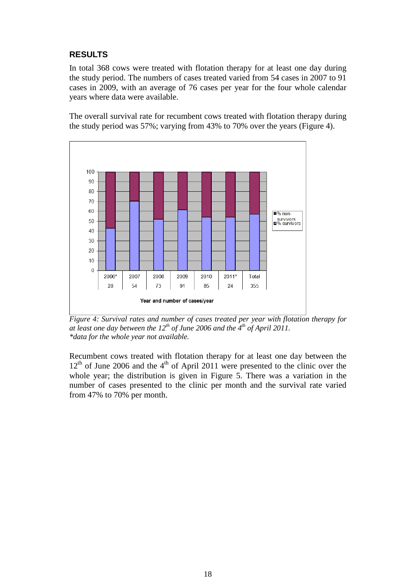# **RESULTS**

In total 368 cows were treated with flotation therapy for at least one day during the study period. The numbers of cases treated varied from 54 cases in 2007 to 91 cases in 2009, with an average of 76 cases per year for the four whole calendar years where data were available.

The overall survival rate for recumbent cows treated with flotation therapy during the study period was 57%; varying from 43% to 70% over the years (Figure 4).



*Figure 4: Survival rates and number of cases treated per year with flotation therapy for*  at least one day between the  $12^{th}$  of June 2006 and the 4<sup>th</sup> of April 2011. *\*data for the whole year not available.* 

Recumbent cows treated with flotation therapy for at least one day between the  $12<sup>th</sup>$  of June 2006 and the  $4<sup>th</sup>$  of April 2011 were presented to the clinic over the whole year; the distribution is given in Figure 5. There was a variation in the number of cases presented to the clinic per month and the survival rate varied from 47% to 70% per month.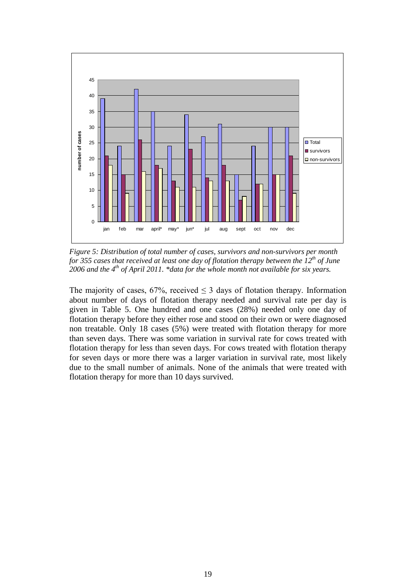

*Figure 5: Distribution of total number of cases, survivors and non-survivors per month for 355 cases that received at least one day of flotation therapy between the 12th of June 2006 and the 4th of April 2011. \*data for the whole month not available for six years.*

The majority of cases, 67%, received  $\leq$  3 days of flotation therapy. Information about number of days of flotation therapy needed and survival rate per day is given in Table 5. One hundred and one cases (28%) needed only one day of flotation therapy before they either rose and stood on their own or were diagnosed non treatable. Only 18 cases (5%) were treated with flotation therapy for more than seven days. There was some variation in survival rate for cows treated with flotation therapy for less than seven days. For cows treated with flotation therapy for seven days or more there was a larger variation in survival rate, most likely due to the small number of animals. None of the animals that were treated with flotation therapy for more than 10 days survived.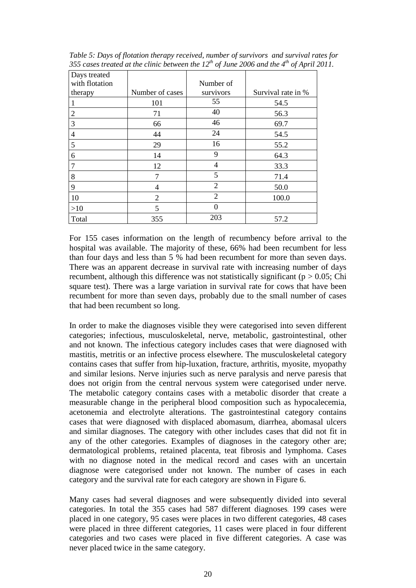| Days treated   |                 |                |                    |
|----------------|-----------------|----------------|--------------------|
| with flotation |                 | Number of      |                    |
| therapy        | Number of cases | survivors      | Survival rate in % |
|                | 101             | 55             | 54.5               |
| 2              | 71              | 40             | 56.3               |
| 3              | 66              | 46             | 69.7               |
| 4              | 44              | 24             | 54.5               |
| 5              | 29              | 16             | 55.2               |
| 6              | 14              | 9              | 64.3               |
| 7              | 12              | 4              | 33.3               |
| 8              | 7               | 5              | 71.4               |
| 9              | 4               | $\overline{2}$ | 50.0               |
| 10             | $\overline{2}$  | $\overline{2}$ | 100.0              |
| >10            | 5               | $\Omega$       |                    |
| Total          | 355             | 203            | 57.2               |

*Table 5: Days of flotation therapy received, number of survivors and survival rates for 355 cases treated at the clinic between the 12th of June 2006 and the 4th of April 2011.* 

For 155 cases information on the length of recumbency before arrival to the hospital was available. The majority of these, 66% had been recumbent for less than four days and less than 5 % had been recumbent for more than seven days. There was an apparent decrease in survival rate with increasing number of days recumbent, although this difference was not statistically significant ( $p > 0.05$ ; Chi square test). There was a large variation in survival rate for cows that have been recumbent for more than seven days, probably due to the small number of cases that had been recumbent so long.

In order to make the diagnoses visible they were categorised into seven different categories; infectious, musculoskeletal, nerve, metabolic, gastrointestinal, other and not known. The infectious category includes cases that were diagnosed with mastitis, metritis or an infective process elsewhere. The musculoskeletal category contains cases that suffer from hip-luxation, fracture, arthritis, myosite, myopathy and similar lesions. Nerve injuries such as nerve paralysis and nerve paresis that does not origin from the central nervous system were categorised under nerve. The metabolic category contains cases with a metabolic disorder that create a measurable change in the peripheral blood composition such as hypocalecemia, acetonemia and electrolyte alterations. The gastrointestinal category contains cases that were diagnosed with displaced abomasum, diarrhea, abomasal ulcers and similar diagnoses. The category with other includes cases that did not fit in any of the other categories. Examples of diagnoses in the category other are; dermatological problems, retained placenta, teat fibrosis and lymphoma. Cases with no diagnose noted in the medical record and cases with an uncertain diagnose were categorised under not known. The number of cases in each category and the survival rate for each category are shown in Figure 6.

Many cases had several diagnoses and were subsequently divided into several categories. In total the 355 cases had 587 different diagnoses. 199 cases were placed in one category, 95 cases were places in two different categories, 48 cases were placed in three different categories, 11 cases were placed in four different categories and two cases were placed in five different categories. A case was never placed twice in the same category.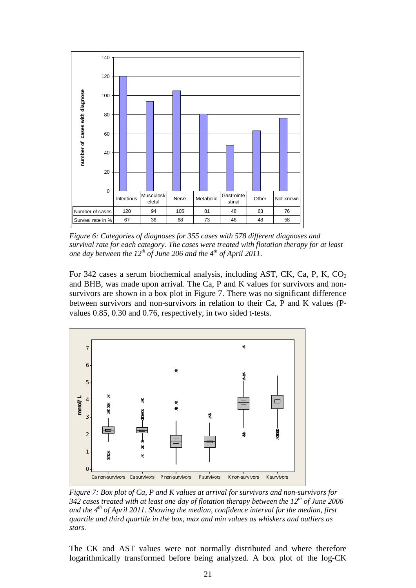

*Figure 6: Categories of diagnoses for 355 cases with 578 different diagnoses and survival rate for each category. The cases were treated with flotation therapy for at least one day between the 12<sup>th</sup> of June 206 and the 4<sup>th</sup> of April 2011.* 

For 342 cases a serum biochemical analysis, including AST, CK, Ca, P, K,  $CO<sub>2</sub>$ and BHB, was made upon arrival. The Ca, P and K values for survivors and nonsurvivors are shown in a box plot in Figure 7. There was no significant difference between survivors and non-survivors in relation to their Ca, P and K values (Pvalues 0.85, 0.30 and 0.76, respectively, in two sided t-tests.



*Figure 7: Box plot of Ca, P and K values at arrival for survivors and non-survivors for 342 cases treated with at least one day of flotation therapy between the 12th of June 2006 and the 4th of April 2011. Showing the median, confidence interval for the median, first quartile and third quartile in the box, max and min values as whiskers and outliers as stars.* 

The CK and AST values were not normally distributed and where therefore logarithmically transformed before being analyzed. A box plot of the log-CK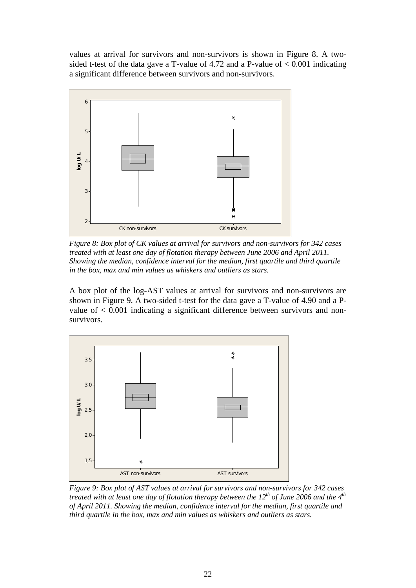values at arrival for survivors and non-survivors is shown in Figure 8. A twosided t-test of the data gave a T-value of 4.72 and a P-value of  $< 0.001$  indicating a significant difference between survivors and non-survivors.



*Figure 8: Box plot of CK values at arrival for survivors and non-survivors for 342 cases treated with at least one day of flotation therapy between June 2006 and April 2011. Showing the median, confidence interval for the median, first quartile and third quartile in the box, max and min values as whiskers and outliers as stars.*

A box plot of the log-AST values at arrival for survivors and non-survivors are shown in Figure 9. A two-sided t-test for the data gave a T-value of 4.90 and a Pvalue of  $< 0.001$  indicating a significant difference between survivors and nonsurvivors.



*Figure 9: Box plot of AST values at arrival for survivors and non-survivors for 342 cases treated with at least one day of flotation therapy between the 12th of June 2006 and the 4th of April 2011. Showing the median, confidence interval for the median, first quartile and third quartile in the box, max and min values as whiskers and outliers as stars.*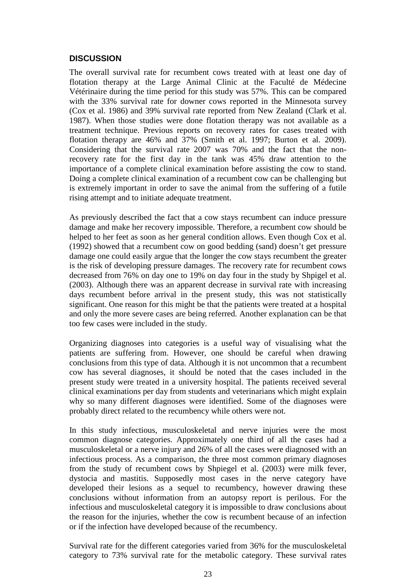#### **DISCUSSION**

The overall survival rate for recumbent cows treated with at least one day of flotation therapy at the Large Animal Clinic at the Faculté de Médecine Vétérinaire during the time period for this study was 57%. This can be compared with the 33% survival rate for downer cows reported in the Minnesota survey (Cox et al. 1986) and 39% survival rate reported from New Zealand (Clark et al. 1987). When those studies were done flotation therapy was not available as a treatment technique. Previous reports on recovery rates for cases treated with flotation therapy are 46% and 37% (Smith et al. 1997; Burton et al. 2009). Considering that the survival rate 2007 was 70% and the fact that the nonrecovery rate for the first day in the tank was 45% draw attention to the importance of a complete clinical examination before assisting the cow to stand. Doing a complete clinical examination of a recumbent cow can be challenging but is extremely important in order to save the animal from the suffering of a futile rising attempt and to initiate adequate treatment.

As previously described the fact that a cow stays recumbent can induce pressure damage and make her recovery impossible. Therefore, a recumbent cow should be helped to her feet as soon as her general condition allows. Even though Cox et al. (1992) showed that a recumbent cow on good bedding (sand) doesn't get pressure damage one could easily argue that the longer the cow stays recumbent the greater is the risk of developing pressure damages. The recovery rate for recumbent cows decreased from 76% on day one to 19% on day four in the study by Shpigel et al. (2003). Although there was an apparent decrease in survival rate with increasing days recumbent before arrival in the present study, this was not statistically significant. One reason for this might be that the patients were treated at a hospital and only the more severe cases are being referred. Another explanation can be that too few cases were included in the study.

Organizing diagnoses into categories is a useful way of visualising what the patients are suffering from. However, one should be careful when drawing conclusions from this type of data. Although it is not uncommon that a recumbent cow has several diagnoses, it should be noted that the cases included in the present study were treated in a university hospital. The patients received several clinical examinations per day from students and veterinarians which might explain why so many different diagnoses were identified. Some of the diagnoses were probably direct related to the recumbency while others were not.

In this study infectious, musculoskeletal and nerve injuries were the most common diagnose categories. Approximately one third of all the cases had a musculoskeletal or a nerve injury and 26% of all the cases were diagnosed with an infectious process. As a comparison, the three most common primary diagnoses from the study of recumbent cows by Shpiegel et al. (2003) were milk fever, dystocia and mastitis. Supposedly most cases in the nerve category have developed their lesions as a sequel to recumbency, however drawing these conclusions without information from an autopsy report is perilous. For the infectious and musculoskeletal category it is impossible to draw conclusions about the reason for the injuries, whether the cow is recumbent because of an infection or if the infection have developed because of the recumbency.

Survival rate for the different categories varied from 36% for the musculoskeletal category to 73% survival rate for the metabolic category. These survival rates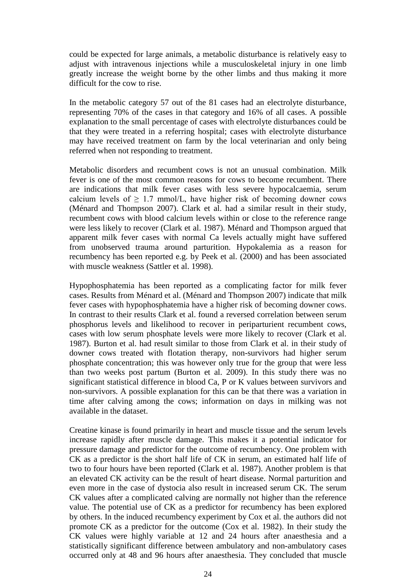could be expected for large animals, a metabolic disturbance is relatively easy to adjust with intravenous injections while a musculoskeletal injury in one limb greatly increase the weight borne by the other limbs and thus making it more difficult for the cow to rise.

In the metabolic category 57 out of the 81 cases had an electrolyte disturbance, representing 70% of the cases in that category and 16% of all cases. A possible explanation to the small percentage of cases with electrolyte disturbances could be that they were treated in a referring hospital; cases with electrolyte disturbance may have received treatment on farm by the local veterinarian and only being referred when not responding to treatment.

Metabolic disorders and recumbent cows is not an unusual combination. Milk fever is one of the most common reasons for cows to become recumbent. There are indications that milk fever cases with less severe hypocalcaemia, serum calcium levels of  $\geq$  1.7 mmol/L, have higher risk of becoming downer cows (Ménard and Thompson 2007). Clark et al. had a similar result in their study, recumbent cows with blood calcium levels within or close to the reference range were less likely to recover (Clark et al. 1987). Ménard and Thompson argued that apparent milk fever cases with normal Ca levels actually might have suffered from unobserved trauma around parturition. Hypokalemia as a reason for recumbency has been reported e.g. by Peek et al. (2000) and has been associated with muscle weakness (Sattler et al. 1998).

Hypophosphatemia has been reported as a complicating factor for milk fever cases. Results from Ménard et al. (Ménard and Thompson 2007) indicate that milk fever cases with hypophosphatemia have a higher risk of becoming downer cows. In contrast to their results Clark et al. found a reversed correlation between serum phosphorus levels and likelihood to recover in periparturient recumbent cows, cases with low serum phosphate levels were more likely to recover (Clark et al. 1987). Burton et al. had result similar to those from Clark et al. in their study of downer cows treated with flotation therapy, non-survivors had higher serum phosphate concentration; this was however only true for the group that were less than two weeks post partum (Burton et al. 2009). In this study there was no significant statistical difference in blood Ca, P or K values between survivors and non-survivors. A possible explanation for this can be that there was a variation in time after calving among the cows; information on days in milking was not available in the dataset.

Creatine kinase is found primarily in heart and muscle tissue and the serum levels increase rapidly after muscle damage. This makes it a potential indicator for pressure damage and predictor for the outcome of recumbency. One problem with CK as a predictor is the short half life of CK in serum, an estimated half life of two to four hours have been reported (Clark et al. 1987). Another problem is that an elevated CK activity can be the result of heart disease. Normal parturition and even more in the case of dystocia also result in increased serum CK. The serum CK values after a complicated calving are normally not higher than the reference value. The potential use of CK as a predictor for recumbency has been explored by others. In the induced recumbency experiment by Cox et al. the authors did not promote CK as a predictor for the outcome (Cox et al. 1982). In their study the CK values were highly variable at 12 and 24 hours after anaesthesia and a statistically significant difference between ambulatory and non-ambulatory cases occurred only at 48 and 96 hours after anaesthesia. They concluded that muscle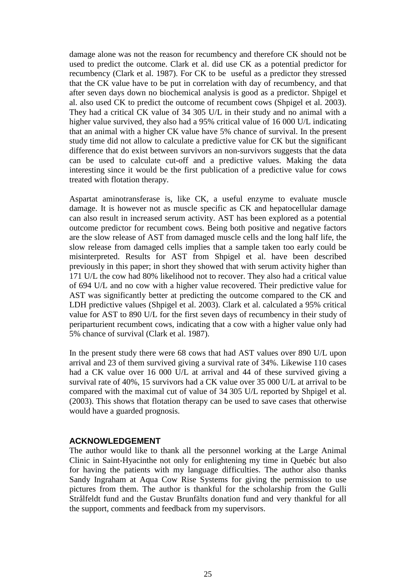damage alone was not the reason for recumbency and therefore CK should not be used to predict the outcome. Clark et al. did use CK as a potential predictor for recumbency (Clark et al. 1987). For CK to be useful as a predictor they stressed that the CK value have to be put in correlation with day of recumbency, and that after seven days down no biochemical analysis is good as a predictor. Shpigel et al. also used CK to predict the outcome of recumbent cows (Shpigel et al. 2003). They had a critical CK value of 34 305 U/L in their study and no animal with a higher value survived, they also had a 95% critical value of 16 000 U/L indicating that an animal with a higher CK value have 5% chance of survival. In the present study time did not allow to calculate a predictive value for CK but the significant difference that do exist between survivors an non-survivors suggests that the data can be used to calculate cut-off and a predictive values. Making the data interesting since it would be the first publication of a predictive value for cows treated with flotation therapy.

Aspartat aminotransferase is, like CK, a useful enzyme to evaluate muscle damage. It is however not as muscle specific as CK and hepatocellular damage can also result in increased serum activity. AST has been explored as a potential outcome predictor for recumbent cows. Being both positive and negative factors are the slow release of AST from damaged muscle cells and the long half life, the slow release from damaged cells implies that a sample taken too early could be misinterpreted. Results for AST from Shpigel et al. have been described previously in this paper; in short they showed that with serum activity higher than 171 U/L the cow had 80% likelihood not to recover. They also had a critical value of 694 U/L and no cow with a higher value recovered. Their predictive value for AST was significantly better at predicting the outcome compared to the CK and LDH predictive values (Shpigel et al. 2003). Clark et al. calculated a 95% critical value for AST to 890 U/L for the first seven days of recumbency in their study of periparturient recumbent cows, indicating that a cow with a higher value only had 5% chance of survival (Clark et al. 1987).

In the present study there were 68 cows that had AST values over 890 U/L upon arrival and 23 of them survived giving a survival rate of 34%. Likewise 110 cases had a CK value over 16 000 U/L at arrival and 44 of these survived giving a survival rate of 40%, 15 survivors had a CK value over 35 000 U/L at arrival to be compared with the maximal cut of value of 34 305 U/L reported by Shpigel et al. (2003). This shows that flotation therapy can be used to save cases that otherwise would have a guarded prognosis.

#### **ACKNOWLEDGEMENT**

The author would like to thank all the personnel working at the Large Animal Clinic in Saint-Hyacinthe not only for enlightening my time in Quebéc but also for having the patients with my language difficulties. The author also thanks Sandy Ingraham at Aqua Cow Rise Systems for giving the permission to use pictures from them. The author is thankful for the scholarship from the Gulli Strålfeldt fund and the Gustav Brunfälts donation fund and very thankful for all the support, comments and feedback from my supervisors.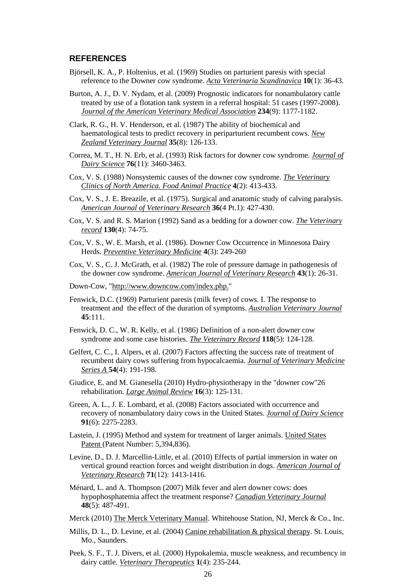#### **REFERENCES**

- Björsell, K. A., P. Holtenius, et al. (1969) Studies on parturient paresis with special reference to the Downer cow syndrome. *Acta Veterinaria Scandinavica* **10**(1): 36-43.
- Burton, A. J., D. V. Nydam, et al. (2009) Prognostic indicators for nonambulatory cattle treated by use of a flotation tank system in a referral hospital: 51 cases (1997-2008). *Journal of the American Veterinary Medical Association* **234**(9): 1177-1182.
- Clark, R. G., H. V. Henderson, et al. (1987) The ability of biochemical and haematological tests to predict recovery in periparturient recumbent cows. *New Zealand Veterinary Journal* **35**(8): 126-133.
- Correa, M. T., H. N. Erb, et al. (1993) Risk factors for downer cow syndrome. *Journal of Dairy Science* **76**(11): 3460-3463.
- Cox, V. S. (1988) Nonsystemic causes of the downer cow syndrome. *The Veterinary Clinics of North America. Food Animal Practice* **4**(2): 413-433.
- Cox, V. S., J. E. Breazile, et al. (1975). Surgical and anatomic study of calving paralysis. *American Journal of Veterinary Research* **36**(4 Pt.1): 427-430.
- Cox, V. S. and R. S. Marion (1992) Sand as a bedding for a downer cow. *The Veterinary record* **130**(4): 74-75.
- Cox, V. S., W. E. Marsh, et al. (1986). Downer Cow Occurrence in Minnesota Dairy Herds. *Preventive Veterinary Medicine* **4**(3): 249-260
- Cox, V. S., C. J. McGrath, et al. (1982) The role of pressure damage in pathogenesis of the downer cow syndrome. *American Journal of Veterinary Research* **43**(1): 26-31.
- Down-Cow, "http://www.downcow.com/index.php."
- Fenwick, D.C. (1969) Parturient paresis (milk fever) of cows. I. The response to treatment and the effect of the duration of symptoms. *Australian Veterinary Journal* **45**:111.
- Fenwick, D. C., W. R. Kelly, et al. (1986) Definition of a non-alert downer cow syndrome and some case histories. *The Veterinary Record* **118**(5): 124-128.
- Gelfert, C. C., I. Alpers, et al. (2007) Factors affecting the success rate of treatment of recumbent dairy cows suffering from hypocalcaemia. *Journal of Veterinary Medicine Series A* **54**(4): 191-198.
- Giudice, E. and M. Gianesella (2010) Hydro-physiotherapy in the "downer cow"26 rehabilitation. *Large Animal Review* **16**(3): 125-131.
- Green, A. L., J. E. Lombard, et al. (2008) Factors associated with occurrence and recovery of nonambulatory dairy cows in the United States. *Journal of Dairy Science* **91**(6): 2275-2283.
- Lastein, J. (1995) Method and system for treatment of larger animals. United States Patent (Patent Number: 5,394,836).
- Levine, D., D. J. Marcellin-Little, et al. (2010) Effects of partial immersion in water on vertical ground reaction forces and weight distribution in dogs. *American Journal of Veterinary Research* **71**(12): 1413-1416.
- Ménard, L. and A. Thompson (2007) Milk fever and alert downer cows: does hypophosphatemia affect the treatment response? *Canadian Veterinary Journal* **48**(5): 487-491.
- Merck (2010) The Merck Veterinary Manual. Whitehouse Station, NJ, Merck & Co., Inc.
- Millis, D. L., D. Levine, et al. (2004) Canine rehabilitation & physical therapy. St. Louis, Mo., Saunders.
- Peek, S. F., T. J. Divers, et al. (2000) Hypokalemia, muscle weakness, and recumbency in dairy cattle. *Veterinary Therapeutics* **1**(4): 235-244.